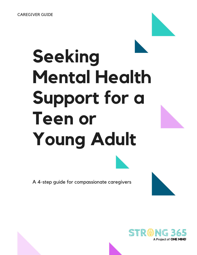# **Seeking Mental Health Support for a Teen or Young Adult**

A 4-step guide for compassionate caregivers

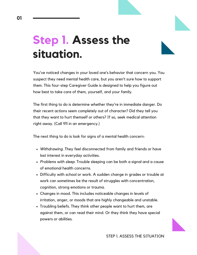### **Step 1. Assess the situation.**

You've noticed changes in your loved one's behavior that concern you. You suspect they need mental health care, but you aren't sure how to support them. This four-step Caregiver Guide is designed to help you figure out how best to take care of them, yourself, and your family.

The first thing to do is determine whether they're in immediate danger. Do their recent actions seem completely out of character? Did they tell you that they want to hurt themself or others? If so, seek medical attention right away. (Call 911 in an emergency.)

The next thing to do is look for signs of a mental health concern:

- *Withdrawing*. They feel disconnected from family and friends or have lost interest in everyday activities.
- *Problems with sleep*. Trouble sleeping can be both a signal and a cause of emotional health concerns.
- Difficulty with school or work. A sudden change in grades or trouble at work can sometimes be the result of struggles with concentration, cognition, strong emotions or trauma.
- Changes in mood. This includes noticeable changes in levels of irritation, anger, or moods that are highly changeable and unstable.
- Troubling beliefs. They think other people want to hurt them, are against them, or can read their mind. Or they think they have special powers or abilities.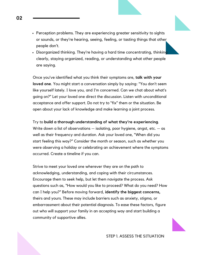- P*e*rception problems. They are experiencing greater sensitivity to sights or sounds, or they're hearing, seeing, feeling, or tasting things that other people don't.
- Disorganized thinking. They're having a hard time concentrating, thinking clearly, staying organized, reading, or understanding what other people are saying.

Once you've identified what you think their symptoms are, **talk with your loved one**. You might start a conversation simply by saying: "You don't seem like yourself lately. I love you, and I'm concerned. Can we chat about what's going on?" Let your loved one direct the discussion. Listen with unconditional acceptance and offer support. Do not try to "fix" them or the situation. Be open about your lack of knowledge and make learning a joint process.

Try to **build a thorough understanding of what they're experiencing**. Write down a list of observations  $-$  isolating, poor hygiene, angst, etc.  $-$  as well as their frequency and duration. Ask your loved one, "When did you start feeling this way?" Consider the month or season, such as whether you were observing a holiday or celebrating an achievement where the symptoms occurred. Create a timeline if you can.

Strive to meet your loved one wherever they are on the path to acknowledging, understanding, and coping with their circumstances. Encourage them to seek help, but let them navigate the process. Ask questions such as, "How would you like to proceed? What do you need? How can I help you?" Before moving forward, **identify the biggest concerns,** theirs and yours. These may include barriers such as anxiety, stigma, or embarrassment about their potential diagnosis. To ease these factors, figure out who will support your family in an accepting way and start building a community of supportive allies.

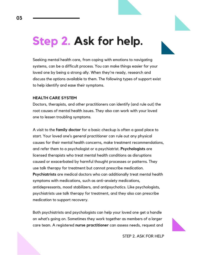### **Step 2. Ask for help.**

Seeking mental health care, from coping with emotions to navigating systems, can be a difficult process. You can make things easier for your loved one by being a strong ally. When they're ready, research and discuss the options available to them. The following types of support exist to help identify and ease their symptoms.

#### **HEALTH CARE SYSTEM**

Doctors, therapists, and other practitioners can identify (and rule out) the root causes of mental health issues. They also can work with your loved one to lessen troubling symptoms.

A visit to the **family doctor** for a basic checkup is often a good place to start. Your loved one's general practitioner can rule out any physical causes for their mental health concerns, make treatment recommendations, and refer them to a psychologist or a psychiatrist. **Psychologists** are licensed therapists who treat mental health conditions as disruptions caused or exacerbated by harmful thought processes or patterns. They use talk therapy for treatment but cannot prescribe medication. **Psychiatrists** are medical doctors who can additionally treat mental health symptoms with medications, such as anti-anxiety medications, antidepressants, mood stabilizers, and antipsychotics. Like psychologists, psychiatrists use talk therapy for treatment, and they also can prescribe medication to support recovery.

Both psychiatrists and psychologists can help your loved one get a handle on what's going on. Sometimes they work together as members of a larger care team. A registered **nurse practitioner** can assess needs, request and



STEP 2. ASK FOR HELP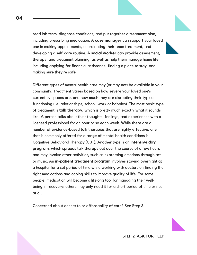read lab tests, diagnose conditions, and put together a treatment plan, including prescribing medication. A **case manager** can support your loved one in making appointments, coordinating their team treatment, and developing a self-care routine. A **social worker** can provide assessment, therapy, and treatment planning, as well as help them manage home life, including applying for financial assistance, finding a place to stay, and making sure they're safe.

Different types of mental health care may (or may not) be available in your community. Treatment varies based on how severe your loved one's current symptoms are, and how much they are disrupting their typical functioning (i.e. relationships, school, work or hobbies). The most basic type of treatment is **talk therapy**, which is pretty much exactly what it sounds like: A person talks about their thoughts, feelings, and experiences with a licensed professional for an hour or so each week. While there are a number of evidence-based talk therapies that are highly effective, one that is commonly offered for a range of mental health conditions is Cognitive [Behavioral](https://strong365.org/get-strong/things-that-can-help/therapy/) Therapy (CBT). Another type is an **intensive day program**, which spreads talk therapy out over the course of a few hours and may involve other activities, such as expressing emotions through art or music. An **in-patient treatment program** involves staying overnight at a hospital for a set period of time while working with doctors on finding the right medications and coping skills to improve quality of life. For some people, medication will become a lifelong tool for managing their wellbeing in recovery; others may only need it for a short period of time or not at all.

Concerned about access to or affordability of care? See Step 3.

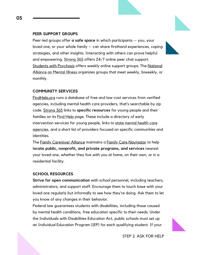#### **PEER SUPPORT GROUPS**

Peer-led groups offer **a safe space** in which participants — you, your loved one, or your whole family — can share firsthand experiences, coping strategies, and other insights. Interacting with others can prove helpful and empowering. [Strong](https://strong365.org/) 365 offers 24/7 online peer chat support. Students with [Psychosis](https://sws.ngo/) offers weekly online support groups. The National Alliance on Mental Illness organizes groups that meet weekly, biweekly, or monthly.

#### **COMMUNITY SERVICES**

[FindHelp.org](https://www.findhelp.org/) runs a database of free and low-cost services from verified agencies, including mental health care providers, that's searchable by zip code. [Strong](https://strong365.org/) 365 links to **specific resources** for young people and their families on its **Find [Help](https://strong365.org/find-help)** page. These include a directory of early intervention services for young people, links to state mental health care agencies, and a short list of providers focused on specific [communities](https://www.nasmhpd.org/content/mental-health-links) and identities.

The Family [Caregiver](https://www.caregiver.org/caregiving-issues-and-strategies) Alliance maintains a Family Care [Navigator](https://www.caregiver.org/family-care-navigator) to help l**ocate public, nonprofit, and private programs, and services** nearest your loved one, whether they live with you at home, on their own, or in a residential facility.

#### **SCHOOL RESOURCES**

**Strive for open communication** with school personnel, including teachers, administrators, and support staff. Encourage them to touch base with your loved one regularly but informally to see how they're doing. Ask them to let you know of any changes in their behavior.

Federal law guarantees students with disabilities, including those caused by mental health conditions, free education specific to their needs. Under the Individuals with Disabilities Education Act, public schools must set up an Individual Education Program (IEP) for each qualifying student. If your

STEP 2. ASK FOR HELP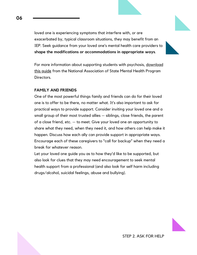loved one is experiencing symptoms that interfere with, or are exacerbated by, typical classroom situations, they may benefit from an IEP. Seek guidance from your loved one's mental health care providers to **shape the modifications or accommodations in appropriate ways**.

For more [information](https://www.nasmhpd.org/sites/default/files/Guidance_Document_Supporting_Students.pdf) about supporting students with psychosis, download this guide from the National Association of State Mental Health Program **Directors** 

#### **FAMILY AND FRIENDS**

One of the most powerful things family and friends can do for their loved one is to offer to be there, no matter what. It's also important to ask for practical ways to provide support. Consider inviting your loved one and a small group of their most trusted allies — siblings, close friends, the parent of a close friend, etc. — to meet. Give your loved one an opportunity to share what they need, when they need it, and how others can help make it happen. Discuss how each ally can provide support in appropriate ways. Encourage each of these caregivers to "call for backup" when they need a break for whatever reason.

Let your loved one guide you as to how they'd like to be supported, but also look for clues that they may need encouragement to seek mental health support from a professional (and also look for self harm including drugs/alcohol, suicidal feelings, abuse and bullying).

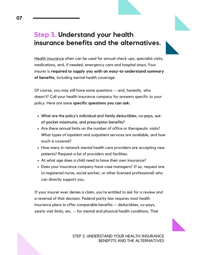### **Step 3. Understand your health insurance benefits and the alternatives.**

Health [insurance](https://www.nami.org/Find-Support/Living-with-a-Mental-Health-Condition/Understanding-Health-Insurance) often can be used for annual check-ups, specialist visits, medications, and, if needed, emergency care and hospital stays. Your insurer is **required to supply you with an easy-to-understand summary of benefits**, including mental health coverage.

Of course, you may still have some questions — and, honestly, who doesn't? Call your health insurance company for answers specific to your policy. Here are some **specific questions you can ask:**

- What are the policy's individual and family deductibles, co-pays, outof-pocket maximums, and prescription benefits?
- Are there annual limits on the number of office or therapeutic visits? What types of inpatient and outpatient services are available, and how much is covered?
- How many in-network mental health care providers are accepting new patients? Request a list of providers and facilities.
- At what age does a child need to have their own insurance?
- Does your insurance company have case managers? If so, request one (a registered nurse, social worker, or other licensed professional) who can directly support you.

If your insurer ever denies a claim, you're entitled to ask for a review and a reversal of that decision. Federal parity law requires most health insurance plans to offer comparable benefits — deductibles, co-pays, yearly visit limits, etc. — for mental and physical health conditions. That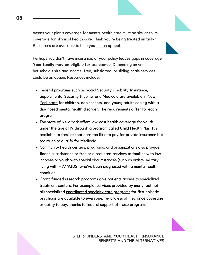means your plan's coverage for mental health care must be similar to its coverage for physical health care. Think you're being treated unfairly? [Resources](https://www.nami.org/Find-Support/Living-with-a-Mental-Health-Condition/Understanding-Health-Insurance) are available to help you file an [appeal.](https://www.nami.org/Find-Support/Living-with-a-Mental-Health-Condition/Understanding-Health-Insurance)

Perhaps you don't have insurance, or your policy leaves gaps in coverage. **Your family may be eligible for assistance**. Depending on your household's size and income, free, subsidized, or sliding-scale services could be an option. Resources include:

- Federal programs such as Social Security Disability [Insurance,](https://www.nami.org/Learn-More/Mental-Health-Public-Policy/Supplemental-Security-Income-(SSI)-and-Social-Secu) [Supplemental](https://www.naminys.org/mental-health-support/benefits/) Security Income, and [Medicaid](https://www.kff.org/medicaid/fact-sheet/ten-things-to-know-about-medicaids-role-for-children-with-behavioral-health-needs/) are available in New York state for children, adolescents, and young adults coping with a diagnosed mental health disorder. The requirements differ for each program.
- The state of New York offers low-cost health coverage for youth under the age of 19 through a program called Child [Health](https://www.health.ny.gov/health_care/child_health_plus/eligibility_and_cost.htm) Plus. It's available to families that earn too little to pay for private insurance but too much to qualify for Medicaid.
- Community health centers, programs, and organizations also provide financial assistance or free or discounted services to families with low incomes or youth with special circumstances (such as artists, military, living with HIV/AIDS) who've been diagnosed with a mental health condition.
- Grant-funded research programs give patients access to specialized treatment centers. For example, services provided by many (but not all) specialized [coordinated](http://strong365.org/find-help) specialty care programs for first episode psychosis are available to everyone, regardless of insurance coverage or ability to pay, thanks to federal support of these programs.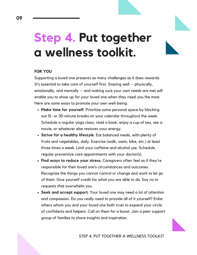## **Step 4. Put together a wellness toolkit.**

#### **FOR [YOU](https://www.nami.org/Find-Support/Living-with-a-Mental-Health-Condition/Understanding-Health-Insurance)**

[Supporting](https://www.nami.org/Find-Support/Living-with-a-Mental-Health-Condition/Understanding-Health-Insurance) a love[d](https://www.nami.org/Find-Support/Living-with-a-Mental-Health-Condition/Understanding-Health-Insurance) one presents as many challenges as it does rewards. It's essential to take care of yourself first. Staying well — physically, [emotionally,](https://www.nami.org/Find-Support/Living-with-a-Mental-Health-Condition/Understanding-Health-Insurance) and mentally — and making sure your own needs are met will enable you to show up for your loved one when they need you the most. Here are some ways to promote your own well-being:

- **Make time for [yourself.](https://www.nami.org/Find-Support/Living-with-a-Mental-Health-Condition/Understanding-Health-Insurance)** Prioritize some personal space by blocking out 15- or 30-minute breaks on your calendar [throughout](https://www.nami.org/Find-Support/Living-with-a-Mental-Health-Condition/Understanding-Health-Insurance) the week. Schedule a regular yoga class, read a book, enjoy a cup of tea, see a movie, or whatever else restores your energy.
- **Strive for a healthy [lifestyle.](https://www.nami.org/Find-Support/Living-with-a-Mental-Health-Condition/Understanding-Health-Insurance)** [E](https://www.nami.org/Find-Support/Living-with-a-Mental-Health-Condition/Understanding-Health-Insurance)at balanced meals, with plenty of fruits and vegetables, daily. Exercise (walk, swim, bike, etc.) at least three times a week. Limit your caffeine and alcohol use. Schedule regular preventive care [appointments](https://www.nami.org/Find-Support/Living-with-a-Mental-Health-Condition/Understanding-Health-Insurance) with your doctor(s).
- **Find ways to [reduce](https://www.nami.org/Find-Support/Living-with-a-Mental-Health-Condition/Understanding-Health-Insurance) your stress.** Caregivers often feel as if they're responsible for their loved one's [circumstances](https://www.nami.org/Find-Support/Living-with-a-Mental-Health-Condition/Understanding-Health-Insurance) and outcomes. Recognize the things you cannot control or change and work to let go of them. Give yourself credit for what you are able to do. Say no to requests that overwhelm you.
- **Seek and accept [support](https://www.nami.org/Find-Support/Living-with-a-Mental-Health-Condition/Understanding-Health-Insurance)**. Your loved one may need a lot of attention and [compassion.](https://www.nami.org/Find-Support/Living-with-a-Mental-Health-Condition/Understanding-Health-Insurance) Do you really need to provide all of it yourself? Enlist others whom you and your loved one both trust to expand your circle of confidants and helpers. Call on them for a boost. Join a peer support group of families to share insights and inspiration.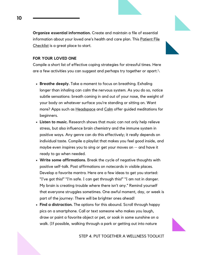**Organize essential [information.](https://www.nami.org/Find-Support/Living-with-a-Mental-Health-Condition/Understanding-Health-Insurance)** Create and maintain a file of essential [information](https://www.nami.org/Find-Support/Living-with-a-Mental-Health-Condition/Understanding-Health-Insurance) about your loved one's health and care plan. This Patient File Checklist is a [great](https://www.nami.org/Find-Support/Living-with-a-Mental-Health-Condition/Understanding-Health-Insurance) place to start.

#### **FOR YOUR LOVED ONE**

Compile a short list of effective coping strategies for stressful times. Here are a few activities you can suggest and perhaps try together or apart:\

- **Breathe deeply.** Take a moment to focus on breathing. Exhaling longer than inhaling can calm the nervous system. As you do so, notice subtle sensations: breath coming in and out of your nose, the weight of your body on whatever surface you're standing or sitting on. Want more? Apps such as [Headspace](https://www.headspace.com/) and [Calm](https://www.calm.com/) offer guided meditations for beginners.
- **Listen to music.** Research shows that music can not only help relieve stress, but also influence brain chemistry and the immune system in positive ways. Any genre can do this effectively; it really depends on individual taste. Compile a playlist that makes you feel good inside, and maybe even inspires you to sing or get your moves on -- and have it ready to go when needed.
- **Write some affirmations.** Break the cycle of negative thoughts with positive self-talk. Post affirmations on notecards in visible places. Develop a favorite mantra. Here are a few ideas to get you started: "I've got this!" "I'm safe. I can get through this!" "I am not in danger. My brain is creating trouble where there isn't any." Remind yourself that everyone struggles sometimes. One awful moment, day, or week is part of the journey: There will be brighter ones ahead!
- **Find a distraction.** The options for this abound. Scroll through happy pics on a smartphone. Call or text someone who makes you laugh, draw or paint a favorite object or pet, or soak in some sunshine on a walk. (If possible, walking through a park or getting out into nature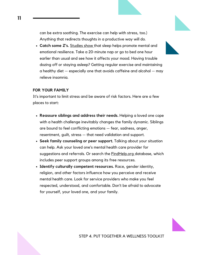can be extra soothing. The exercise can help with stress, too.) Anything that redirects thoughts in a [productive](https://www.nami.org/Find-Support/Living-with-a-Mental-Health-Condition/Understanding-Health-Insurance) way will do.

**[Catch](https://www.nami.org/Find-Support/Living-with-a-Mental-Health-Condition/Understanding-Health-Insurance) some Z's.** [Studies](https://www.nami.org/Find-Support/Living-with-a-Mental-Health-Condition/Understanding-Health-Insurance) show that sleep helps promote mental and emotional resilience. Take a 20-minute nap or go to bed one hour earlier than usual and see how it affects your mood. Having trouble dozing off or staying asleep? Getting regular exercise and [maintaining](https://www.nami.org/Find-Support/Living-with-a-Mental-Health-Condition/Understanding-Health-Insurance) a healthy diet  $-$  especially one that avoids caffeine and alcohol  $-$  may relieve insomnia.

#### **FOR YOUR FAMILY**

It's important to limit stress and be aware of risk factors. Here are a few places to start:

- **Reassure siblings and address their needs.** Helping a loved one cope with a health challenge inevitably changes the family dynamic. Siblings are bound to feel conflicting emotions — fear, sadness, anger, resentment, guilt, stress — that need validation and support.
- **Seek family counseling or peer support.** Talking about your situation can help. Ask your loved one's mental health care provider for suggestions and referrals. Or search the [FindHelp.org](https://www.findhelp.org/claims?ref=ab_redirect) database, which includes peer support groups among its free resources.
- **Identify culturally competent resources.** Race, gender identity, religion, and other factors influence how you perceive and receive mental health care. Look for service providers who make you feel respected, understood, and comfortable. Don't be afraid to advocate for yourself, your loved one, and your family.